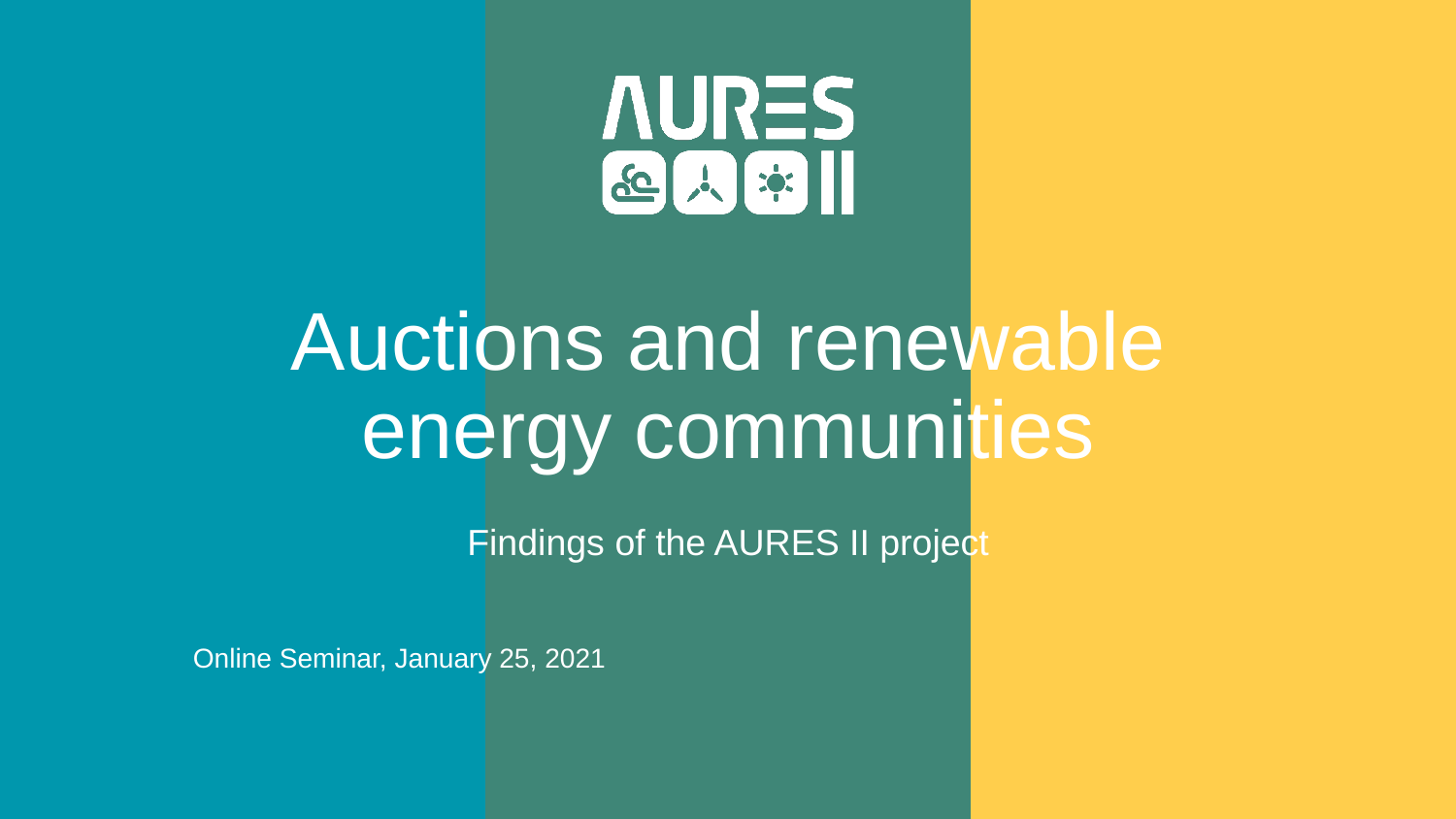

# Auctions and renewable energy communities

Findings of the AURES II project

Online Seminar, January 25, 2021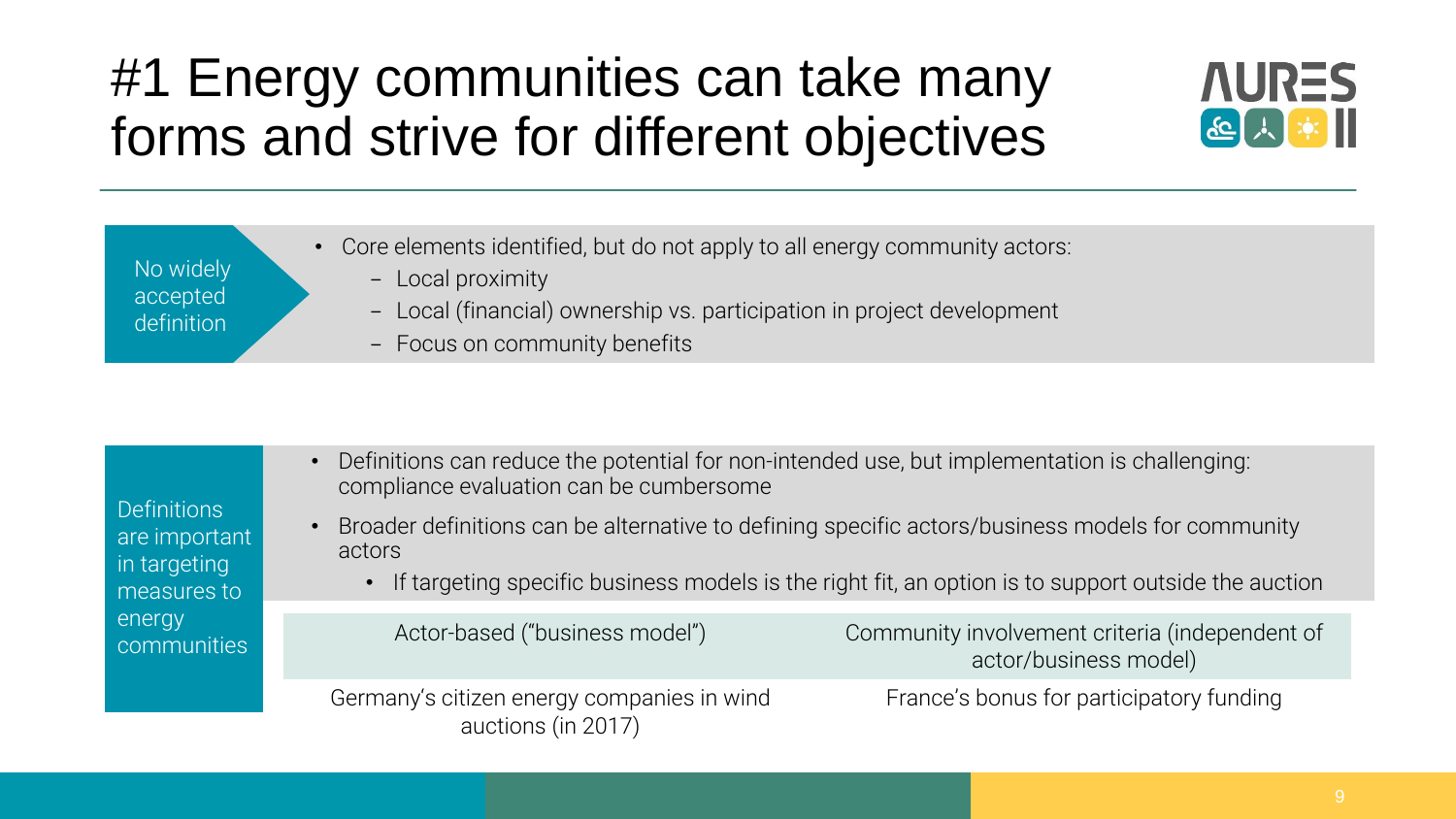## #1 Energy communities can take many forms and strive for different objectives



| • Core elements identified, but do not apply to all energy community actors: |  |
|------------------------------------------------------------------------------|--|
|------------------------------------------------------------------------------|--|

- Local proximity

No widely accepted definition

- Local (financial) ownership vs. participation in project development
- Focus on community benefits

| <b>Definitions</b><br>are important<br>in targeting<br>measures to<br>energy<br>communities | • Definitions can reduce the potential for non-intended use, but implementation is challenging:<br>compliance evaluation can be cumbersome<br>$\bullet$ | Broader definitions can be alternative to defining specific actors/business models for community      |
|---------------------------------------------------------------------------------------------|---------------------------------------------------------------------------------------------------------------------------------------------------------|-------------------------------------------------------------------------------------------------------|
|                                                                                             | actors                                                                                                                                                  | • If targeting specific business models is the right fit, an option is to support outside the auction |
|                                                                                             |                                                                                                                                                         |                                                                                                       |
|                                                                                             | Actor-based ("business model")                                                                                                                          | Community involvement criteria (independent of<br>actor/business model)                               |
|                                                                                             | Germany's citizen energy companies in wind<br>auctions (in 2017)                                                                                        | France's bonus for participatory funding                                                              |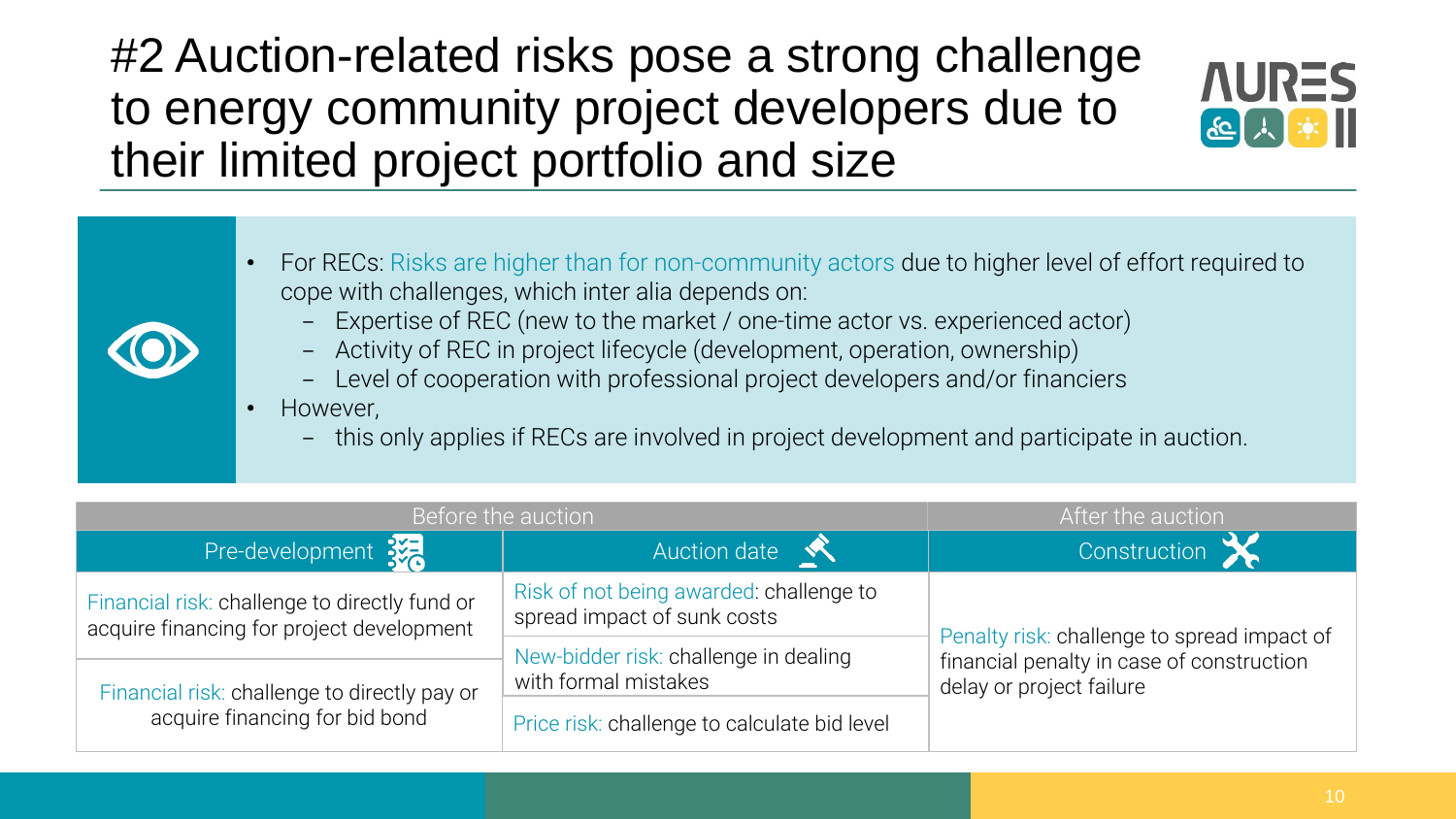#2 Auction-related risks pose a strong challenge to energy community project developers due to their limited project portfolio and size



- For RECs: Risks are higher than for non-community actors due to higher level of effort required to cope with challenges, which inter alia depends on:
	- Expertise of REC (new to the market / one-time actor vs. experienced actor)
	- Activity of REC in project lifecycle (development, operation, ownership)
	- Level of cooperation with professional project developers and/or financiers
	- However,
		- this only applies if RECs are involved in project development and participate in auction.

| Before the auction                                                                         |                                                                        | After the auction                                                                                                    |
|--------------------------------------------------------------------------------------------|------------------------------------------------------------------------|----------------------------------------------------------------------------------------------------------------------|
| Pre-development 3%                                                                         | Auction date                                                           | Construction                                                                                                         |
| Financial risk: challenge to directly fund or<br>acquire financing for project development | Risk of not being awarded: challenge to<br>spread impact of sunk costs | Penalty risk: challenge to spread impact of<br>financial penalty in case of construction<br>delay or project failure |
| Financial risk: challenge to directly pay or                                               | New-bidder risk: challenge in dealing<br>with formal mistakes          |                                                                                                                      |
| acquire financing for bid bond                                                             | Price risk: challenge to calculate bid level                           |                                                                                                                      |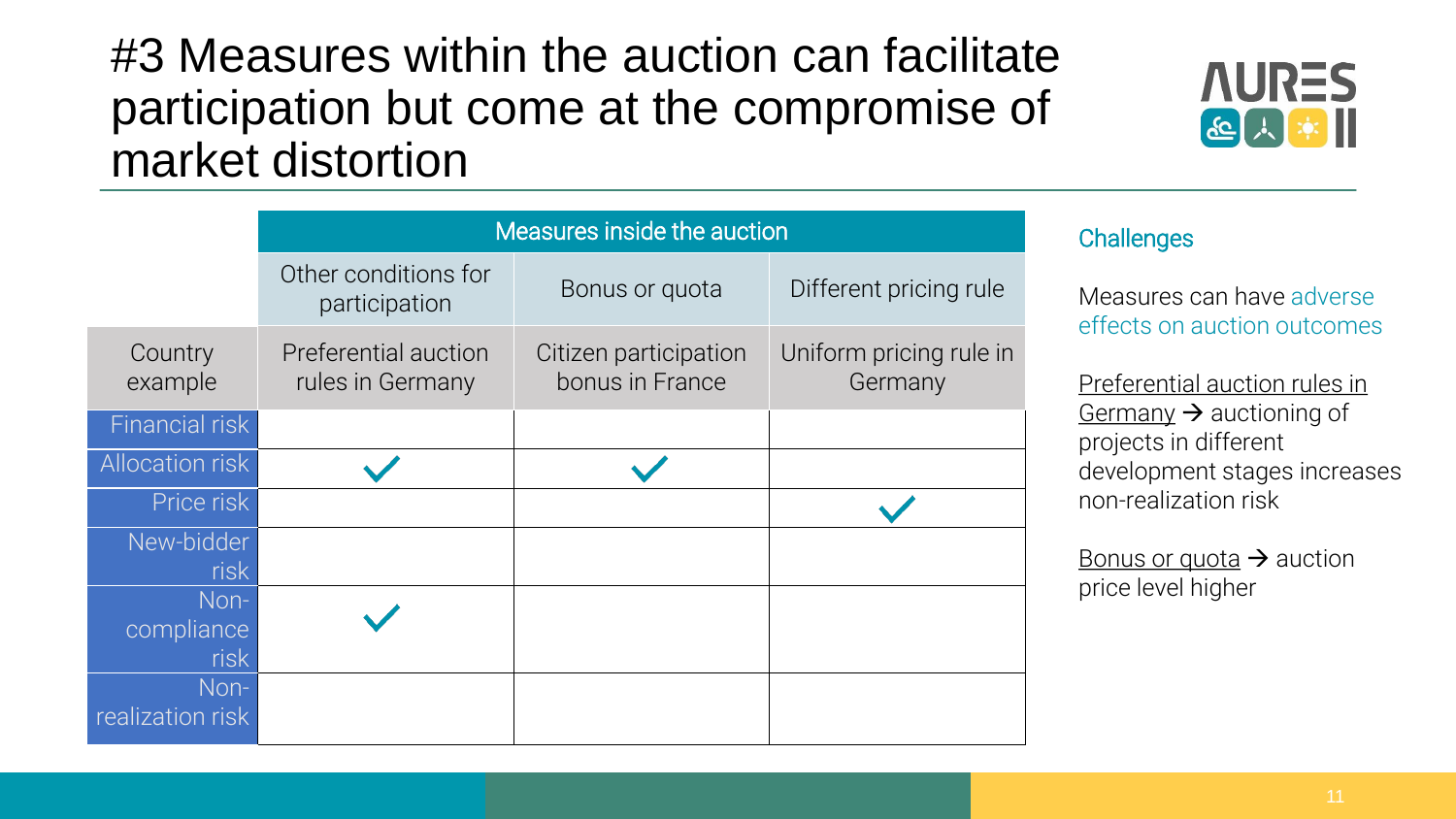#3 Measures within the auction can facilitate participation but come at the compromise of market distortion



|                        | Measures inside the auction              |                                          |                                    |
|------------------------|------------------------------------------|------------------------------------------|------------------------------------|
|                        | Other conditions for<br>participation    | Bonus or quota                           | Different pricing rule             |
| Country<br>example     | Preferential auction<br>rules in Germany | Citizen participation<br>bonus in France | Uniform pricing rule in<br>Germany |
| <b>Financial risk</b>  |                                          |                                          |                                    |
| <b>Allocation risk</b> |                                          |                                          |                                    |
| Price risk             |                                          |                                          |                                    |
| New-bidder             |                                          |                                          |                                    |
| risk                   |                                          |                                          |                                    |
| Non-                   |                                          |                                          |                                    |
| compliance             |                                          |                                          |                                    |
| risk                   |                                          |                                          |                                    |
| Non-                   |                                          |                                          |                                    |
| realization risk       |                                          |                                          |                                    |

#### **Challenges**

Measures can have adverse effects on auction outcomes

Preferential auction rules in Germany  $\rightarrow$  auctioning of projects in different development stages increases non-realization risk

Bonus or quota  $\rightarrow$  auction price level higher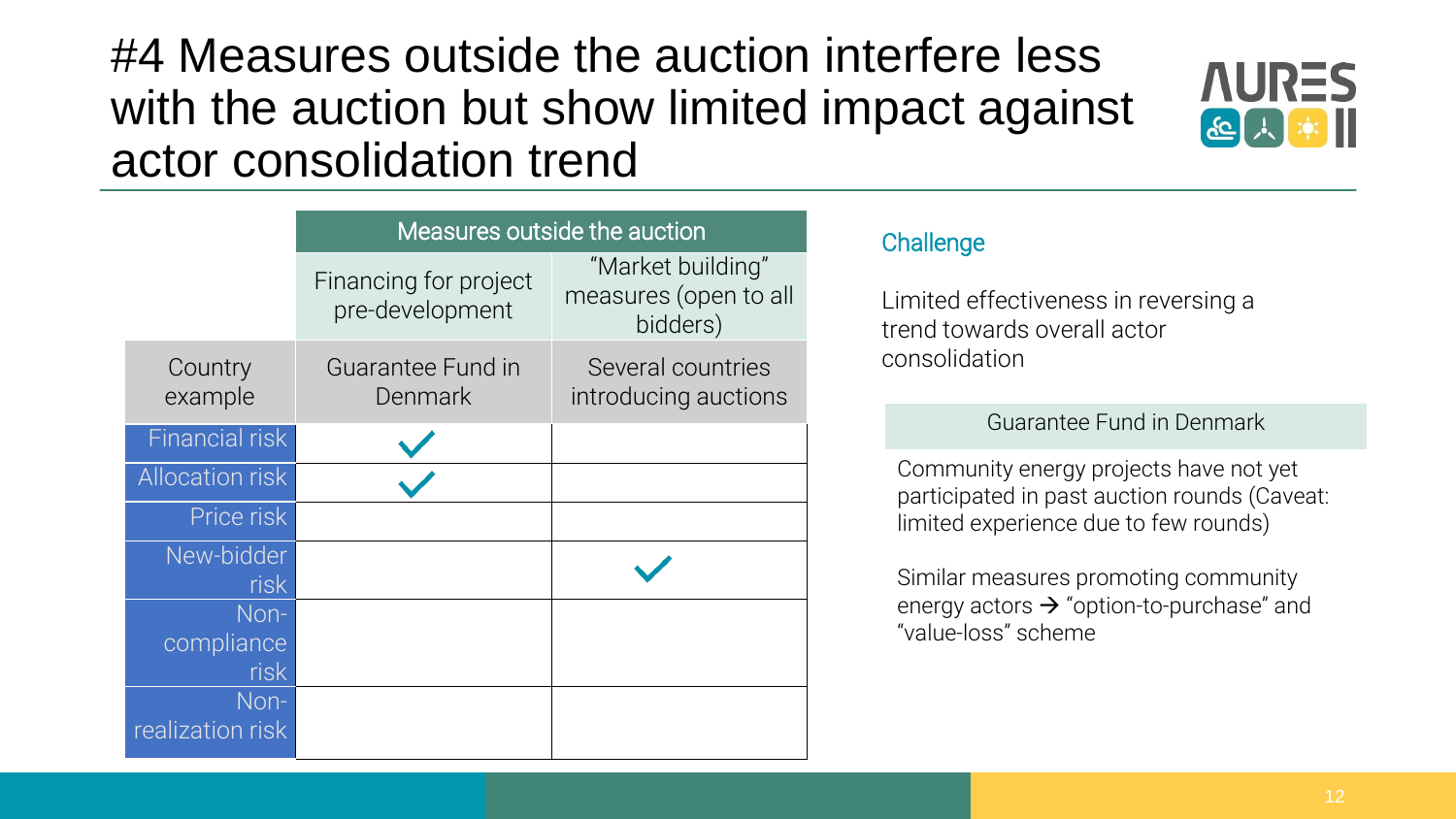### #4 Measures outside the auction interfere less with the auction but show limited impact against actor consolidation trend



|                        | Measures outside the auction             |                                                        |
|------------------------|------------------------------------------|--------------------------------------------------------|
|                        | Financing for project<br>pre-development | "Market building"<br>measures (open to all<br>bidders) |
| Country<br>example     | Guarantee Fund in<br>Denmark             | Several countries<br>introducing auctions              |
| <b>Financial risk</b>  |                                          |                                                        |
| <b>Allocation risk</b> |                                          |                                                        |
| Price risk             |                                          |                                                        |
| New-bidder<br>risk     |                                          |                                                        |
| Non-                   |                                          |                                                        |
| compliance             |                                          |                                                        |
| risk<br>Non-           |                                          |                                                        |
| realization risk       |                                          |                                                        |

#### **Challenge**

Limited effectiveness in reversing a trend towards overall actor consolidation

#### Guarantee Fund in Denmark

Community energy projects have not yet participated in past auction rounds (Caveat: limited experience due to few rounds)

Similar measures promoting community energy actors  $\rightarrow$  "option-to-purchase" and "value-loss" scheme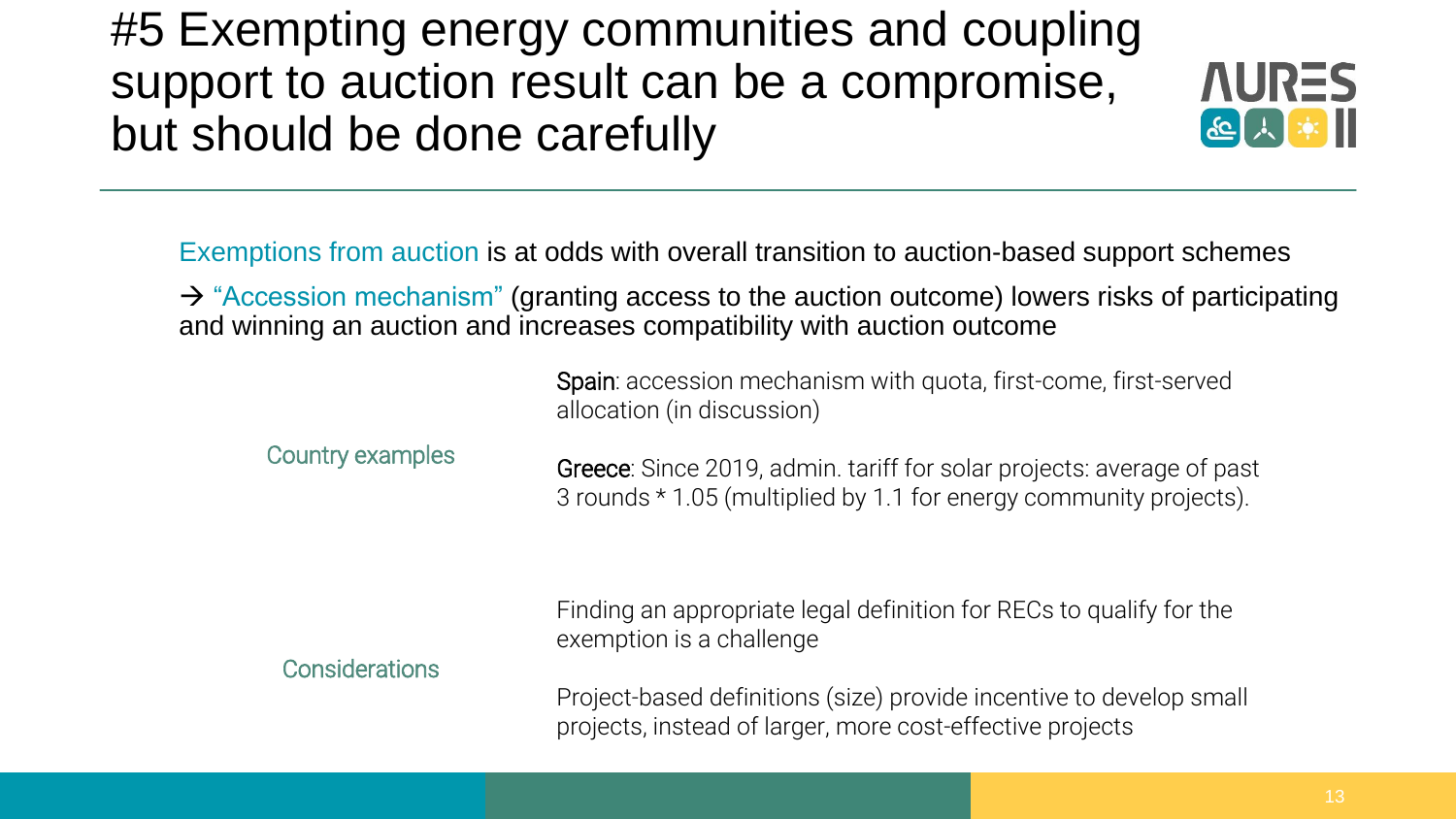#5 Exempting energy communities and coupling support to auction result can be a compromise, but should be done carefully



Exemptions from auction is at odds with overall transition to auction-based support schemes

 $\rightarrow$  "Accession mechanism" (granting access to the auction outcome) lowers risks of participating and winning an auction and increases compatibility with auction outcome

| Spain: accession mechanism with quota, first-come, first-served |
|-----------------------------------------------------------------|
| allocation (in discussion)                                      |

| <b>Country examples</b> | Greece: Since 2019, admin. tariff for solar projects: average of past<br>3 rounds * 1.05 (multiplied by 1.1 for energy community projects). |
|-------------------------|---------------------------------------------------------------------------------------------------------------------------------------------|
|                         | Finding an appropriate legal definition for RECs to qualify for the<br>exemption is a challenge                                             |

Project-based definitions (size) provide incentive to develop small projects, instead of larger, more cost-effective projects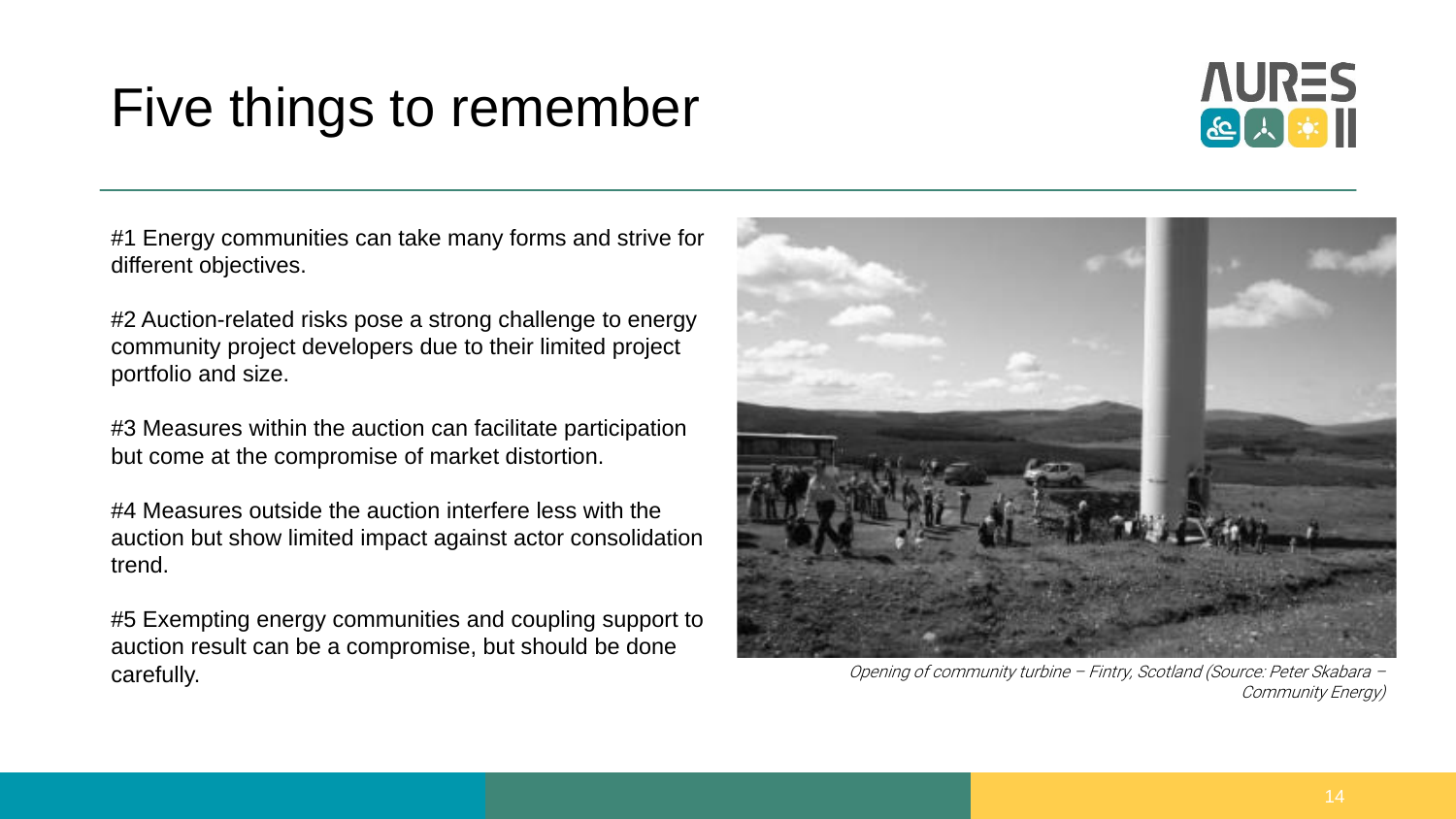## Five things to remember



#1 Energy communities can take many forms and strive for different objectives.

#2 Auction-related risks pose a strong challenge to energy community project developers due to their limited project portfolio and size.

#3 Measures within the auction can facilitate participation but come at the compromise of market distortion.

#4 Measures outside the auction interfere less with the auction but show limited impact against actor consolidation trend.

#5 Exempting energy communities and coupling support to auction result can be a compromise, but should be done carefully.



Opening of community turbine – Fintry, Scotland (Source: Peter Skabara – Community Energy)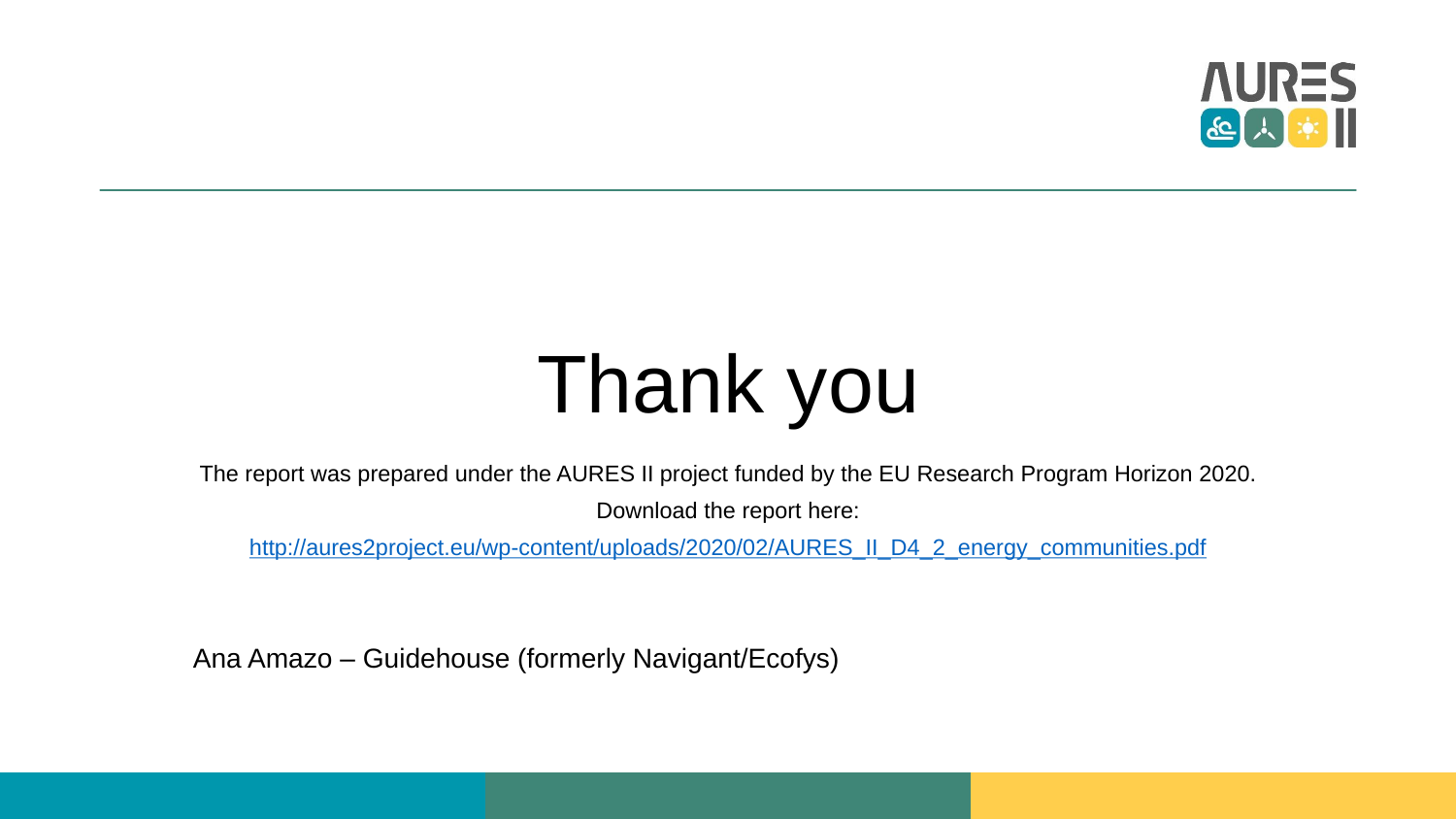

## Thank you

The report was prepared under the AURES II project funded by the EU Research Program Horizon 2020.

Download the report here:

[http://aures2project.eu/wp-content/uploads/2020/02/AURES\\_II\\_D4\\_2\\_energy\\_communities.pdf](http://aures2project.eu/wp-content/uploads/2020/02/AURES_II_D4_2_energy_communities.pdf)

Ana Amazo – Guidehouse (formerly Navigant/Ecofys)